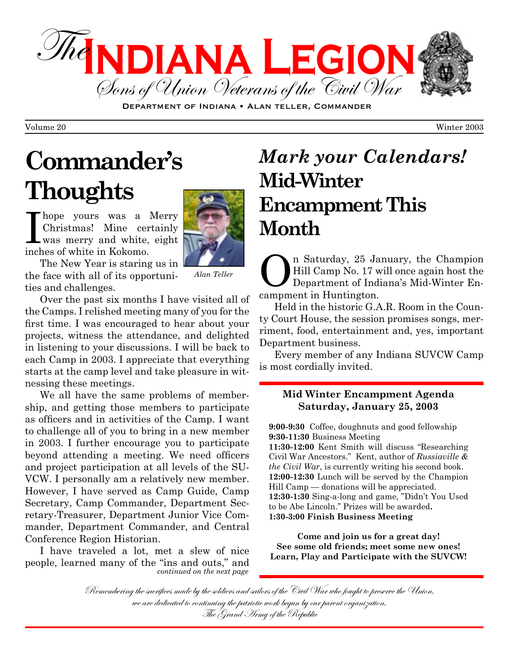

DEPARTMENT OF INDIANA . ALAN TELLER, COMMANDER

# **Commander's Thoughts**



Thope yours was a Merry<br>Christmas! Mine certainly<br>was merry and white, eight Christmas! Mine certainly was merry and white, eight inches of white in Kokomo.

The New Year is staring us in the face with all of its opportunities and challenges.

*Alan Teller*

Over the past six months I have visited all of the Camps. I relished meeting many of you for the first time. I was encouraged to hear about your projects, witness the attendance, and delighted in listening to your discussions. I will be back to each Camp in 2003. I appreciate that everything starts at the camp level and take pleasure in witnessing these meetings.

We all have the same problems of membership, and getting those members to participate as officers and in activities of the Camp. I want to challenge all of you to bring in a new member in 2003. I further encourage you to participate beyond attending a meeting. We need officers and project participation at all levels of the SU-VCW. I personally am a relatively new member. However, I have served as Camp Guide, Camp Secretary, Camp Commander, Department Secretary-Treasurer, Department Junior Vice Commander, Department Commander, and Central Conference Region Historian.

I have traveled a lot, met a slew of nice people, learned many of the "ins and outs," and *continued on the next page*

## **Mid-Winter Encampment This Month** *Mark your Calendars!*

n Saturday, 25 January, the Champion Hill Camp No. 17 will once again host the Department of Indiana's Mid-Winter Encampment in Huntington.

Held in the historic G.A.R. Room in the County Court House, the session promises songs, merriment, food, entertainment and, yes, important Department business.

Every member of any Indiana SUVCW Camp is most cordially invited.

#### **Mid Winter Encampment Agenda Saturday, January 25, 2003**

**9:00-9:30** Coffee, doughnuts and good fellowship **9:30-11:30** Business Meeting **11:30-12:00** Kent Smith will discuss "Researching Civil War Ancestors." Kent, author of *Russiaville & the Civil War*, is currently writing his second book. **12:00-12:30** Lunch will be served by the Champion Hill Camp — donations will be appreciated. **12:30-1:30** Sing-a-long and game, "Didn't You Used to be Abe Lincoln." Prizes will be awarded**. 1:30-3:00 Finish Business Meeting**

**Come and join us for a great day! See some old friends; meet some new ones! Learn, Play and Participate with the SUVCW!**

Remembering the sacrifices made by the soldiers and sailors of the Civil War who fought to preserve the Union, we are dedicated to continuing the patriotic work begun by our parent organization,<br>The Grand Army of the Republic

Volume 20 Winter 2003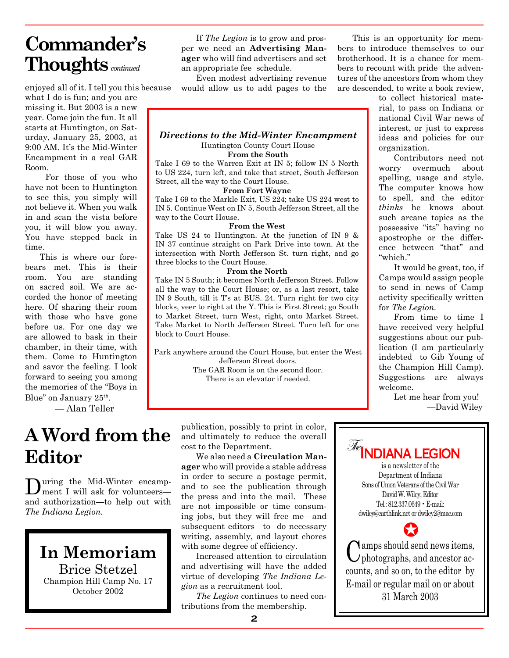### **Commander's Thoughts***continued*

enjoyed all of it. I tell you this because

what I do is fun; and you are missing it. But 2003 is a new year. Come join the fun. It all starts at Huntington, on Saturday, January 25, 2003, at 9:00 AM. It's the Mid-Winter Encampment in a real GAR Room.

 For those of you who have not been to Huntington to see this, you simply will not believe it. When you walk in and scan the vista before you, it will blow you away. You have stepped back in time.

This is where our forebears met. This is their room. You are standing on sacred soil. We are accorded the honor of meeting here. Of sharing their room with those who have gone before us. For one day we are allowed to bask in their chamber, in their time, with them. Come to Huntington and savor the feeling. I look forward to seeing you among the memories of the "Boys in Blue" on January 25<sup>th</sup>.

— Alan Teller

### The **A Word from the Editor**

During the Mid-Winter encampment I will ask for volunteers and authorization—to help out with *The Indiana Legion.*

**In Memoriam** Brice Stetzel Champion Hill Camp No. 17 October 2002

If *The Legion* is to grow and prosper we need an **Advertising Manager** who will find advertisers and set an appropriate fee schedule.

Even modest advertising revenue would allow us to add pages to the

This is an opportunity for members to introduce themselves to our brotherhood. It is a chance for members to recount with pride the adventures of the ancestors from whom they are descended, to write a book review,

> to collect historical material, to pass on Indiana or national Civil War news of interest, or just to express ideas and policies for our organization.

> Contributors need not worry overmuch about spelling, usage and style. The computer knows how to spell, and the editor *thinks* he knows about such arcane topics as the possessive "its" having no apostrophe or the difference between "that" and "which."

> It would be great, too, if Camps would assign people to send in news of Camp activity specifically written for *The Legion.*

> From time to time I have received very helpful suggestions about our publication (I am particularly indebted to Gib Young of the Champion Hill Camp). Suggestions are always welcome.

> > Let me hear from you! —David Wiley



#### *Directions to the Mid-Winter Encampment*

Huntington County Court House **From the South**

Take I 69 to the Warren Exit at IN 5; follow IN 5 North to US 224, turn left, and take that street, South Jefferson Street, all the way to the Court House.

#### **From Fort Wayne**

Take I 69 to the Markle Exit, US 224; take US 224 west to IN 5. Continue West on IN 5, South Jefferson Street, all the way to the Court House.

#### **From the West**

Take US 24 to Huntington. At the junction of IN 9 & IN 37 continue straight on Park Drive into town. At the intersection with North Jefferson St. turn right, and go three blocks to the Court House.

#### **From the North**

Take IN 5 South; it becomes North Jefferson Street. Follow all the way to the Court House; or, as a last resort, take IN 9 South, till it T's at BUS. 24. Turn right for two city blocks, veer to right at the Y. This is First Street; go South to Market Street, turn West, right, onto Market Street. Take Market to North Jefferson Street. Turn left for one block to Court House.

Park anywhere around the Court House, but enter the West Jefferson Street doors.

The GAR Room is on the second floor. There is an elevator if needed.

publication, possibly to print in color, and ultimately to reduce the overall cost to the Department.

We also need a **Circulation Manager** who will provide a stable address in order to secure a postage permit, and to see the publication through the press and into the mail. These are not impossible or time consuming jobs, but they will free me—and subsequent editors—to do necessary writing, assembly, and layout chores with some degree of efficiency.

Increased attention to circulation and advertising will have the added virtue of developing *The Indiana Legion* as a recruitment tool.

*The Legion* continues to need contributions from the membership.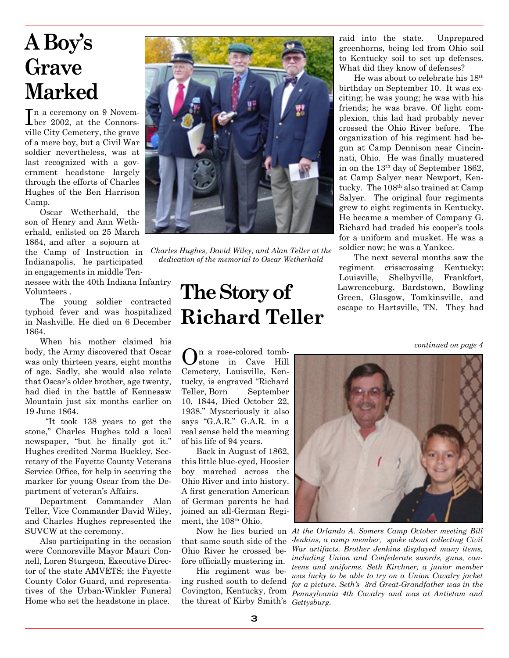# **A Boy's Grave Marked**

In a ceremony on 9 Novem-<br>Liber 2002, at the Connorsn a ceremony on 9 Novemville City Cemetery, the grave of a mere boy, but a Civil War soldier nevertheless, was at last recognized with a government headstone—largely through the efforts of Charles Hughes of the Ben Harrison Camp.

Oscar Wetherhald, the son of Henry and Ann Wetherhald, enlisted on 25 March 1864, and after a sojourn at the Camp of Instruction in Indianapolis, he participated in engagements in middle Ten-

nessee with the 40th Indiana Infantry Volunteers .

The young soldier contracted typhoid fever and was hospitalized in Nashville. He died on 6 December 1864.

When his mother claimed his body, the Army discovered that Oscar was only thirteen years, eight months of age. Sadly, she would also relate that Oscar's older brother, age twenty, had died in the battle of Kennesaw Mountain just six months earlier on 19 June 1864.

 "It took 138 years to get the stone," Charles Hughes told a local newspaper, "but he finally got it." Hughes credited Norma Buckley, Secretary of the Fayette County Veterans Service Office, for help in securing the marker for young Oscar from the Department of veteran's Affairs.

Department Commander Alan Teller, Vice Commander David Wiley, and Charles Hughes represented the SUVCW at the ceremony.

Also participating in the occasion were Connorsville Mayor Mauri Connell, Loren Sturgeon, Executive Director of the state AMVETS; the Fayette County Color Guard, and representatives of the Urban-Winkler Funeral Home who set the headstone in place.



*Charles Hughes, David Wiley, and Alan Teller at the dedication of the memorial to Oscar Wetherhald*

# **The Story of Richard Teller**

 $\mathbf{O}$ n a rose-colored tomb-<br>stone in Cave Hill Cemetery, Louisville, Kentucky, is engraved "Richard Teller, Born September 10, 1844, Died October 22, 1938." Mysteriously it also says "G.A.R." G.A.R. in a real sense held the meaning of his life of 94 years.

Back in August of 1862, this little blue-eyed, Hoosier boy marched across the Ohio River and into history. A first generation American of German parents he had joined an all-German Regiment, the 108<sup>th</sup> Ohio.

that same south side of the Ohio River he crossed before officially mustering in.

His regiment was being rushed south to defend Covington, Kentucky, from the threat of Kirby Smith's *Gettysburg.* raid into the state. Unprepared greenhorns, being led from Ohio soil to Kentucky soil to set up defenses. What did they know of defenses?

He was about to celebrate his 18th birthday on September 10. It was exciting; he was young; he was with his friends; he was brave. Of light complexion, this lad had probably never crossed the Ohio River before. The organization of his regiment had begun at Camp Dennison near Cincinnati, Ohio. He was finally mustered in on the 13th day of September 1862, at Camp Salyer near Newport, Kentucky. The 108<sup>th</sup> also trained at Camp Salyer. The original four regiments grew to eight regiments in Kentucky. He became a member of Company G. Richard had traded his cooper's tools for a uniform and musket. He was a soldier now; he was a Yankee.

The next several months saw the regiment crisscrossing Kentucky: Louisville, Shelbyville, Frankfort, Lawrenceburg, Bardstown, Bowling Green, Glasgow, Tomkinsville, and escape to Hartsville, TN. They had

*continued on page 4*



Now he lies buried on *At the Orlando A. Somers Camp October meeting Bill Jenkins, a camp member, spoke about collecting Civil War artifacts. Brother Jenkins displayed many items, including Union and Confederate swords, guns, canteens and uniforms. Seth Kirchner, a junior member was lucky to be able to try on a Union Cavalry jacket for a picture. Seth's 3rd Great-Grandfather was in the Pennsylvania 4th Cavalry and was at Antietam and*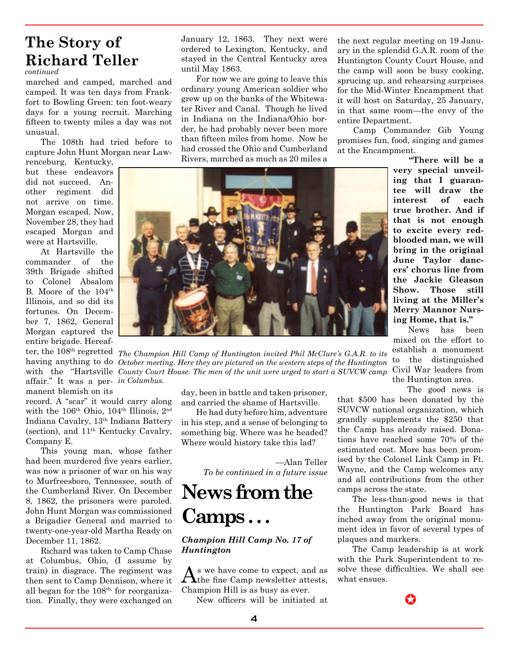### **The Story of Richard Teller**

*continued*

marched and camped, marched and camped. It was ten days from Frankfort to Bowling Green: ten foot-weary days for a young recruit. Marching fifteen to twenty miles a day was not unusual.

The 108th had tried before to capture John Hunt Morgan near Law-

renceburg, Kentucky, but these endeavors did not succeed. Another regiment did not arrive on time. Morgan escaped. Now, November 28, they had escaped Morgan and were at Hartsville.

At Hartsville the commander of the 39th Brigade shifted to Colonel Absalom B. Moore of the 104<sup>th</sup> Illinois, and so did its fortunes. On December 7, 1862, General Morgan captured the entire brigade. Hereaf-

affair." It was a per-*in Columbus.* manent blemish on its

record. A "scar" it would carry along with the 106<sup>th</sup> Ohio, 104<sup>th</sup> Illinois, 2<sup>nd</sup> Indiana Cavalry, 13th Indiana Battery (section), and 11th Kentucky Cavalry, Company E.

This young man, whose father had been murdered five years earlier, was now a prisoner of war on his way to Murfreesboro, Tennessee, south of the Cumberland River. On December 8, 1862, the prisoners were paroled. John Hunt Morgan was commissioned a Brigadier General and married to twenty-one-year-old Martha Ready on December 11, 1862.

Richard was taken to Camp Chase at Columbus, Ohio, (I assume by train) in disgrace. The regiment was then sent to Camp Dennison, where it all began for the  $108<sup>th</sup>$ , for reorganization. Finally, they were exchanged on

January 12, 1863. They next were ordered to Lexington, Kentucky, and stayed in the Central Kentucky area until May 1863.

For now we are going to leave this ordinary young American soldier who grew up on the banks of the Whitewater River and Canal. Though he lived in Indiana on the Indiana/Ohio border, he had probably never been more than fifteen miles from home. Now he had crossed the Ohio and Cumberland Rivers, marched as much as 20 miles a

the next regular meeting on 19 January in the splendid G.A.R. room of the Huntington County Court House, and the camp will soon be busy cooking, sprucing up, and rehearsing surprises for the Mid-Winter Encampment that it will host on Saturday, 25 January, in that same room—the envy of the entire Department.

Camp Commander Gib Young promises fun, food, singing and games at the Encampment.

ter, the 108<sup>th</sup> regretted The Champion Hill Camp of Huntington invited Phil McClure's G.A.R. to its having anything to do October meeting. Here they are pictured on the western steps of the Huntington with the "Hartsville *County Court House. The men of the unit were urged to start a SUVCW camp* 

day, been in battle and taken prisoner, and carried the shame of Hartsville.

He had duty before him, adventure in his step, and a sense of belonging to something big. Where was he headed? Where would history take this lad?

> —Alan Teller *To be continued in a future issue*

### **News from the Camps . . .**

#### *Champion Hill Camp No. 17 of Huntington*

 $\bigwedge$ s we have come to expect, and as  $\bigwedge$ the fine Camp newsletter attests, Champion Hill is as busy as ever.

New officers will be initiated at

**"There will be a very special unveiling that I guarantee will draw the interest of each true brother. And if that is not enough to excite every redblooded man, we will bring in the original June Taylor dancers' chorus line from the Jackie Gleason Show. Those still living at the Miller's Merry Mannor Nursing Home, that is."**

News has been mixed on the effort to establish a monument to the distinguished Civil War leaders from the Huntington area.

The good news is that \$500 has been donated by the SUVCW national organization, which grandly supplements the \$250 that the Camp has already raised. Donations have reached some 70% of the

estimated cost. More has been promised by the Colonel Link Camp in Ft. Wayne, and the Camp welcomes any and all contributions from the other camps across the state.

The less-than-good news is that the Huntington Park Board has inched away from the original monument idea in favor of several types of plaques and markers.

The Camp leadership is at work with the Park Superintendent to resolve these difficulties. We shall see what ensues.

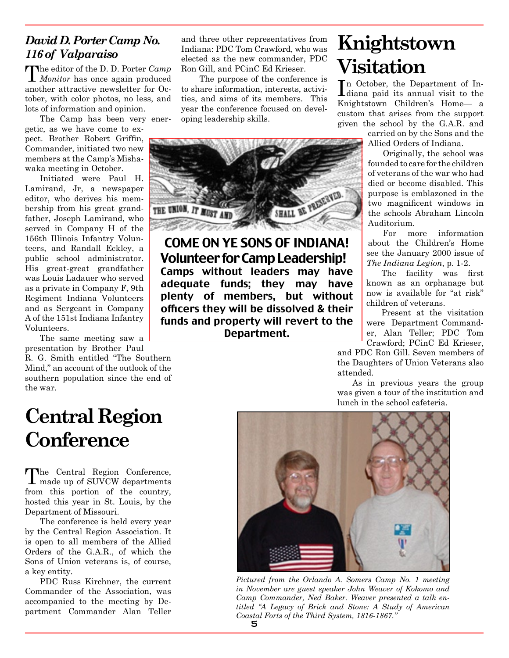#### *David D. Porter Camp No. 116 of Valparaiso*

The editor of the D. D. Porter *Camp Monitor* has once again produced another attractive newsletter for October, with color photos, no less, and lots of information and opinion.

The Camp has been very energetic, as we have come to expect. Brother Robert Griffin, Commander, initiated two new members at the Camp's Mishawaka meeting in October.

Initiated were Paul H. Lamirand, Jr, a newspaper editor, who derives his membership from his great grandfather, Joseph Lamirand, who served in Company H of the 156th Illinois Infantry Volunteers, and Randall Eckley, a public school administrator. His great-great grandfather was Louis Ladauer who served as a private in Company F, 9th Regiment Indiana Volunteers and as Sergeant in Company A of the 151st Indiana Infantry Volunteers.

The same meeting saw a presentation by Brother Paul

R. G. Smith entitled "The Southern Mind," an account of the outlook of the southern population since the end of the war.

## **Central Region Conference**

The Central Region Conference, made up of SUVCW departments from this portion of the country, hosted this year in St. Louis, by the Department of Missouri.

The conference is held every year by the Central Region Association. It is open to all members of the Allied Orders of the G.A.R., of which the Sons of Union veterans is, of course, a key entity.

PDC Russ Kirchner, the current Commander of the Association, was accompanied to the meeting by Department Commander Alan Teller

and three other representatives from Indiana: PDC Tom Crawford, who was elected as the new commander, PDC Ron Gill, and PCinC Ed Krieser.

 The purpose of the conference is to share information, interests, activities, and aims of its members. This year the conference focused on developing leadership skills.



COME ON YE SONS OF INDIANA! Volunteer for Camp Leadership! Camps without leaders may have adequate funds; they may have plenty of members, but without officers they will be dissolved & their funds and property will revert to the Department.

## **Knightstown Visitation**

In October, the Department of In-<br>Idiana paid its annual visit to the diana paid its annual visit to the Knightstown Children's Home— a custom that arises from the support given the school by the G.A.R. and

> carried on by the Sons and the Allied Orders of Indiana.

Originally, the school was founded to care for the children of veterans of the war who had died or become disabled. This purpose is emblazoned in the two magnificent windows in the schools Abraham Lincoln Auditorium.

For more information about the Children's Home see the January 2000 issue of *The Indiana Legion*, p. 1-2.

The facility was first known as an orphanage but now is available for "at risk" children of veterans.

Present at the visitation were Department Commander, Alan Teller; PDC Tom Crawford; PCinC Ed Krieser,

and PDC Ron Gill. Seven members of the Daughters of Union Veterans also attended.

As in previous years the group was given a tour of the institution and lunch in the school cafeteria.



*Pictured from the Orlando A. Somers Camp No. 1 meeting in November are guest speaker John Weaver of Kokomo and Camp Commander, Ned Baker. Weaver presented a talk entitled "A Legacy of Brick and Stone: A Study of American Coastal Forts of the Third System, 1816-1867."*

5